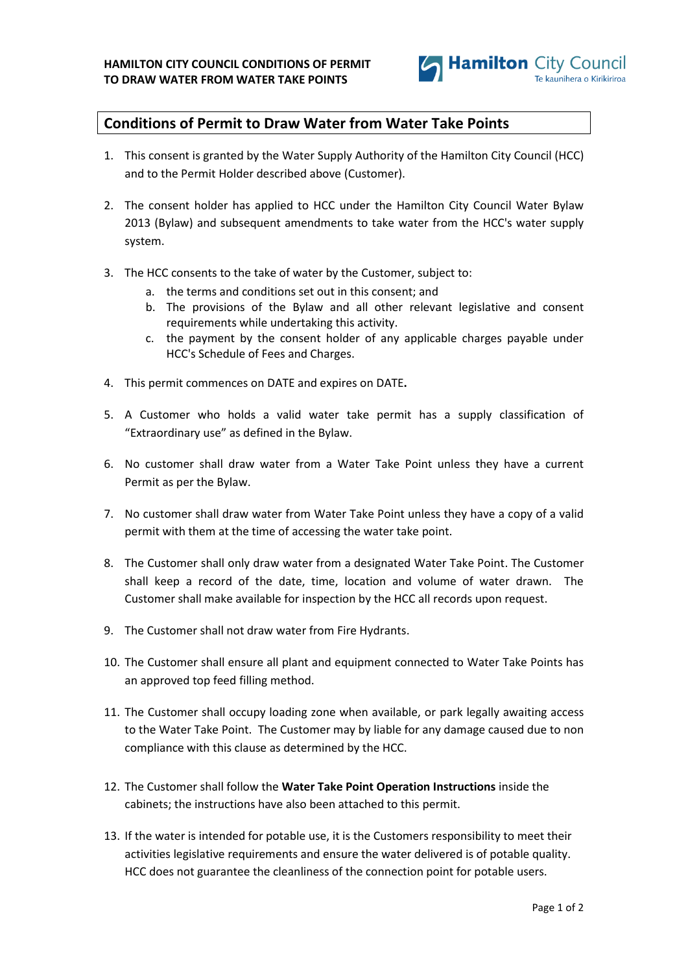

## **Conditions of Permit to Draw Water from Water Take Points**

- 1. This consent is granted by the Water Supply Authority of the Hamilton City Council (HCC) and to the Permit Holder described above (Customer).
- 2. The consent holder has applied to HCC under the Hamilton City Council Water Bylaw 2013 (Bylaw) and subsequent amendments to take water from the HCC's water supply system.
- 3. The HCC consents to the take of water by the Customer, subject to:
	- a. the terms and conditions set out in this consent; and
	- b. The provisions of the Bylaw and all other relevant legislative and consent requirements while undertaking this activity.
	- c. the payment by the consent holder of any applicable charges payable under HCC's Schedule of Fees and Charges.
- 4. This permit commences on DATE and expires on DATE**.**
- 5. A Customer who holds a valid water take permit has a supply classification of "Extraordinary use" as defined in the Bylaw.
- 6. No customer shall draw water from a Water Take Point unless they have a current Permit as per the Bylaw.
- 7. No customer shall draw water from Water Take Point unless they have a copy of a valid permit with them at the time of accessing the water take point.
- 8. The Customer shall only draw water from a designated Water Take Point. The Customer shall keep a record of the date, time, location and volume of water drawn. The Customer shall make available for inspection by the HCC all records upon request.
- 9. The Customer shall not draw water from Fire Hydrants.
- 10. The Customer shall ensure all plant and equipment connected to Water Take Points has an approved top feed filling method.
- 11. The Customer shall occupy loading zone when available, or park legally awaiting access to the Water Take Point. The Customer may by liable for any damage caused due to non compliance with this clause as determined by the HCC.
- 12. The Customer shall follow the **Water Take Point Operation Instructions** inside the cabinets; the instructions have also been attached to this permit.
- 13. If the water is intended for potable use, it is the Customers responsibility to meet their activities legislative requirements and ensure the water delivered is of potable quality. HCC does not guarantee the cleanliness of the connection point for potable users.